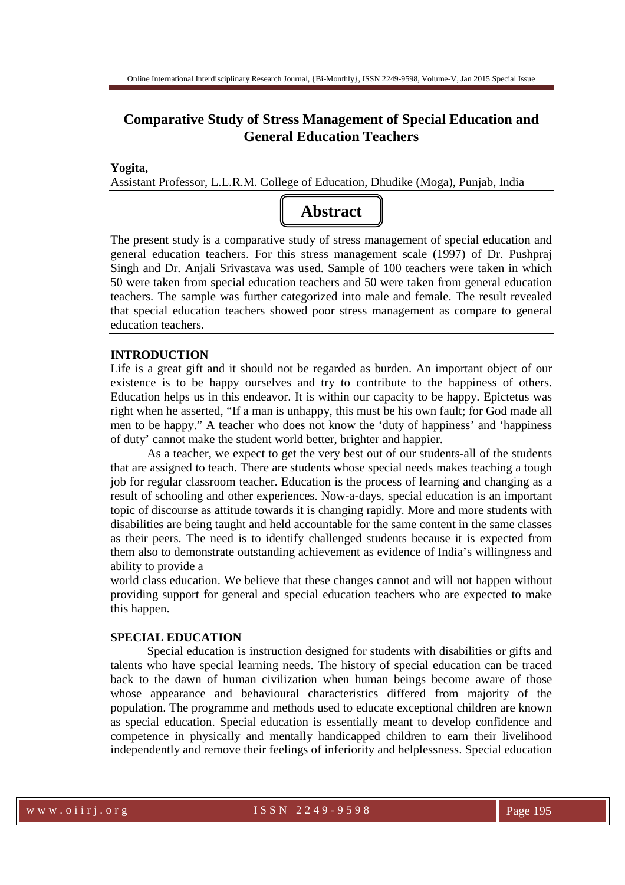# **Comparative Study of Stress Management of Special Education and General Education Teachers**

#### **Yogita,**

Assistant Professor, L.L.R.M. College of Education, Dhudike (Moga), Punjab, India



The present study is a comparative study of stress management of special education and general education teachers. For this stress management scale (1997) of Dr. Pushpraj Singh and Dr. Anjali Srivastava was used. Sample of 100 teachers were taken in which 50 were taken from special education teachers and 50 were taken from general education teachers. The sample was further categorized into male and female. The result revealed that special education teachers showed poor stress management as compare to general education teachers.

#### **INTRODUCTION**

Life is a great gift and it should not be regarded as burden. An important object of our existence is to be happy ourselves and try to contribute to the happiness of others. Education helps us in this endeavor. It is within our capacity to be happy. Epictetus was right when he asserted, "If a man is unhappy, this must be his own fault; for God made all men to be happy." A teacher who does not know the 'duty of happiness' and 'happiness of duty' cannot make the student world better, brighter and happier.

 As a teacher, we expect to get the very best out of our students-all of the students that are assigned to teach. There are students whose special needs makes teaching a tough job for regular classroom teacher. Education is the process of learning and changing as a result of schooling and other experiences. Now-a-days, special education is an important topic of discourse as attitude towards it is changing rapidly. More and more students with disabilities are being taught and held accountable for the same content in the same classes as their peers. The need is to identify challenged students because it is expected from them also to demonstrate outstanding achievement as evidence of India's willingness and ability to provide a

world class education. We believe that these changes cannot and will not happen without providing support for general and special education teachers who are expected to make this happen.

#### **SPECIAL EDUCATION**

 Special education is instruction designed for students with disabilities or gifts and talents who have special learning needs. The history of special education can be traced back to the dawn of human civilization when human beings become aware of those whose appearance and behavioural characteristics differed from majority of the population. The programme and methods used to educate exceptional children are known as special education. Special education is essentially meant to develop confidence and competence in physically and mentally handicapped children to earn their livelihood independently and remove their feelings of inferiority and helplessness. Special education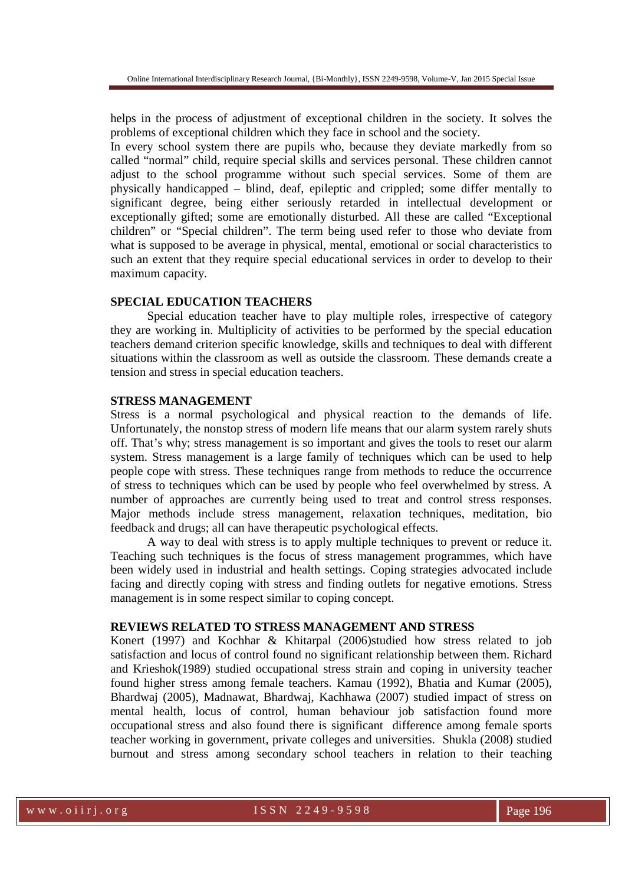helps in the process of adjustment of exceptional children in the society. It solves the problems of exceptional children which they face in school and the society.

In every school system there are pupils who, because they deviate markedly from so called "normal" child, require special skills and services personal. These children cannot adjust to the school programme without such special services. Some of them are physically handicapped – blind, deaf, epileptic and crippled; some differ mentally to significant degree, being either seriously retarded in intellectual development or exceptionally gifted; some are emotionally disturbed. All these are called "Exceptional children" or "Special children". The term being used refer to those who deviate from what is supposed to be average in physical, mental, emotional or social characteristics to such an extent that they require special educational services in order to develop to their maximum capacity.

#### **SPECIAL EDUCATION TEACHERS**

 Special education teacher have to play multiple roles, irrespective of category they are working in. Multiplicity of activities to be performed by the special education teachers demand criterion specific knowledge, skills and techniques to deal with different situations within the classroom as well as outside the classroom. These demands create a tension and stress in special education teachers.

#### **STRESS MANAGEMENT**

Stress is a normal psychological and physical reaction to the demands of life. Unfortunately, the nonstop stress of modern life means that our alarm system rarely shuts off. That's why; stress management is so important and gives the tools to reset our alarm system. Stress management is a large family of techniques which can be used to help people cope with stress. These techniques range from methods to reduce the occurrence of stress to techniques which can be used by people who feel overwhelmed by stress. A number of approaches are currently being used to treat and control stress responses. Major methods include stress management, relaxation techniques, meditation, bio feedback and drugs; all can have therapeutic psychological effects.

 A way to deal with stress is to apply multiple techniques to prevent or reduce it. Teaching such techniques is the focus of stress management programmes, which have been widely used in industrial and health settings. Coping strategies advocated include facing and directly coping with stress and finding outlets for negative emotions. Stress management is in some respect similar to coping concept.

### **REVIEWS RELATED TO STRESS MANAGEMENT AND STRESS**

Konert (1997) and Kochhar & Khitarpal (2006)studied how stress related to job satisfaction and locus of control found no significant relationship between them. Richard and Krieshok(1989) studied occupational stress strain and coping in university teacher found higher stress among female teachers. Kamau (1992), Bhatia and Kumar (2005), Bhardwaj (2005), Madnawat, Bhardwaj, Kachhawa (2007) studied impact of stress on mental health, locus of control, human behaviour job satisfaction found more occupational stress and also found there is significant difference among female sports teacher working in government, private colleges and universities. Shukla (2008) studied burnout and stress among secondary school teachers in relation to their teaching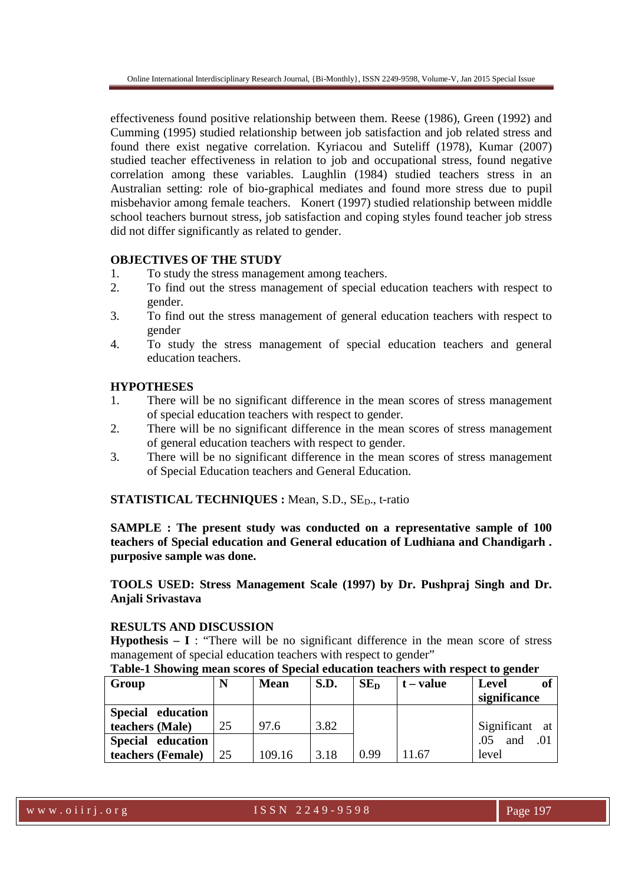effectiveness found positive relationship between them. Reese (1986), Green (1992) and Cumming (1995) studied relationship between job satisfaction and job related stress and found there exist negative correlation. Kyriacou and Suteliff (1978), Kumar (2007) studied teacher effectiveness in relation to job and occupational stress, found negative correlation among these variables. Laughlin (1984) studied teachers stress in an Australian setting: role of bio-graphical mediates and found more stress due to pupil misbehavior among female teachers. Konert (1997) studied relationship between middle school teachers burnout stress, job satisfaction and coping styles found teacher job stress did not differ significantly as related to gender.

### **OBJECTIVES OF THE STUDY**

- 1. To study the stress management among teachers.
- 2. To find out the stress management of special education teachers with respect to gender.
- 3. To find out the stress management of general education teachers with respect to gender
- 4. To study the stress management of special education teachers and general education teachers.

### **HYPOTHESES**

- 1. There will be no significant difference in the mean scores of stress management of special education teachers with respect to gender.
- 2. There will be no significant difference in the mean scores of stress management of general education teachers with respect to gender.
- 3. There will be no significant difference in the mean scores of stress management of Special Education teachers and General Education.

# **STATISTICAL TECHNIQUES :** Mean, S.D., SE<sub>D</sub>., t-ratio

**SAMPLE : The present study was conducted on a representative sample of 100 teachers of Special education and General education of Ludhiana and Chandigarh . purposive sample was done.** 

# **TOOLS USED: Stress Management Scale (1997) by Dr. Pushpraj Singh and Dr. Anjali Srivastava**

# **RESULTS AND DISCUSSION**

**Hypothesis – I** : "There will be no significant difference in the mean score of stress management of special education teachers with respect to gender"

### **Table-1 Showing mean scores of Special education teachers with respect to gender**

| Group             | N  | <b>Mean</b> | S.D. | SE <sub>D</sub> | $t - value$ | of<br>Level       |
|-------------------|----|-------------|------|-----------------|-------------|-------------------|
|                   |    |             |      |                 |             | significance      |
| Special education |    |             |      |                 |             |                   |
| teachers (Male)   | 25 | 97.6        | 3.82 |                 |             | Significant at    |
| Special education |    |             |      |                 |             | .05<br>and<br>.01 |
| teachers (Female) | 25 | 109.16      | 3.18 | 0.99            | 11.67       | level             |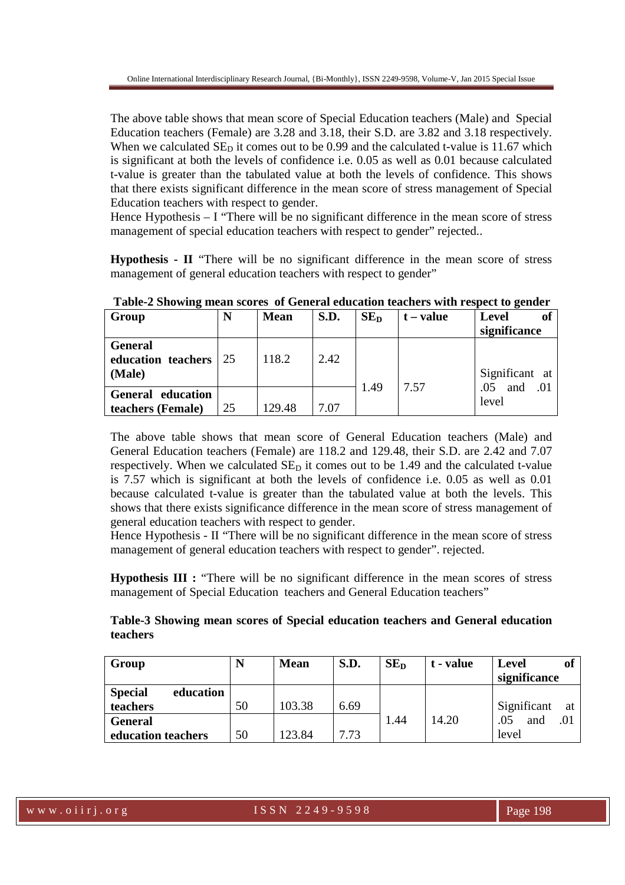The above table shows that mean score of Special Education teachers (Male) and Special Education teachers (Female) are 3.28 and 3.18, their S.D. are 3.82 and 3.18 respectively. When we calculated  $SE<sub>D</sub>$  it comes out to be 0.99 and the calculated t-value is 11.67 which is significant at both the levels of confidence i.e. 0.05 as well as 0.01 because calculated t-value is greater than the tabulated value at both the levels of confidence. This shows that there exists significant difference in the mean score of stress management of Special Education teachers with respect to gender.

Hence Hypothesis  $-1$  "There will be no significant difference in the mean score of stress management of special education teachers with respect to gender" rejected..

**Hypothesis - II** "There will be no significant difference in the mean score of stress management of general education teachers with respect to gender"

| ັ<br>Group                                     | N  | <b>Mean</b> | S.D. | SE <sub>D</sub> | $t - value$ | of<br>Level<br>significance |
|------------------------------------------------|----|-------------|------|-----------------|-------------|-----------------------------|
| <b>General</b><br>education teachers<br>(Male) | 25 | 118.2       | 2.42 |                 | 7.57        | Significant at<br>.01       |
| General education                              |    |             |      | 1.49            |             | and<br>.05                  |
| teachers (Female)                              | 25 | 129.48      | 7.07 |                 |             | level                       |

**Table-2 Showing mean scores of General education teachers with respect to gender** 

The above table shows that mean score of General Education teachers (Male) and General Education teachers (Female) are 118.2 and 129.48, their S.D. are 2.42 and 7.07 respectively. When we calculated  $SE<sub>D</sub>$  it comes out to be 1.49 and the calculated t-value is 7.57 which is significant at both the levels of confidence i.e. 0.05 as well as 0.01 because calculated t-value is greater than the tabulated value at both the levels. This shows that there exists significance difference in the mean score of stress management of general education teachers with respect to gender.

Hence Hypothesis - II "There will be no significant difference in the mean score of stress management of general education teachers with respect to gender". rejected.

**Hypothesis III :** "There will be no significant difference in the mean scores of stress management of Special Education teachers and General Education teachers"

# **Table-3 Showing mean scores of Special education teachers and General education teachers**

| Group                       |    | <b>Mean</b> | S.D. | SE <sub>D</sub> | t - value | Level        |     |
|-----------------------------|----|-------------|------|-----------------|-----------|--------------|-----|
|                             |    |             |      |                 |           | significance |     |
| <b>Special</b><br>education |    |             |      |                 |           |              |     |
| teachers                    | 50 | 103.38      | 6.69 |                 |           | Significant  | at  |
| <b>General</b>              |    |             |      | 1.44            | 14.20     | and          | .01 |
| education teachers          | 50 | 123.84      | 7.73 |                 |           | level        |     |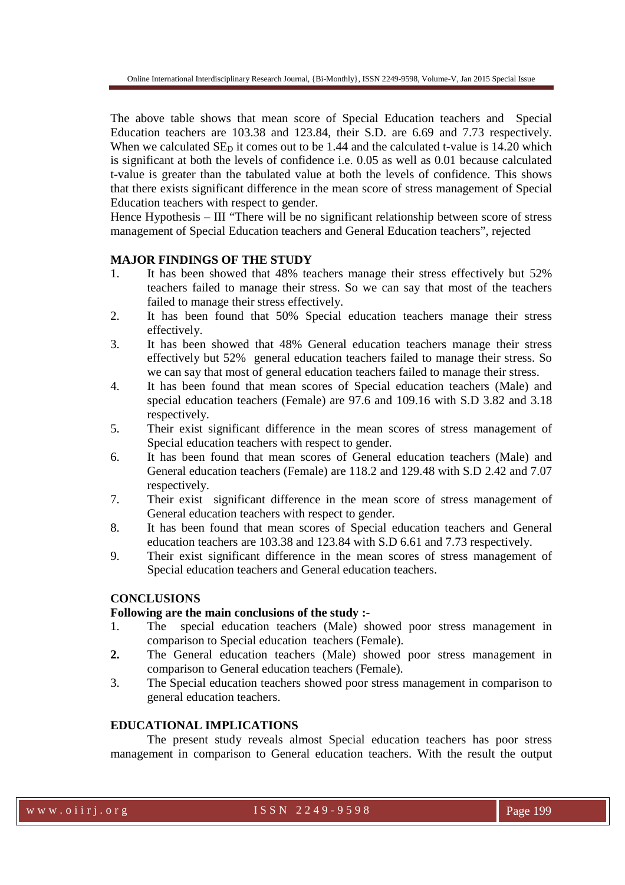The above table shows that mean score of Special Education teachers and Special Education teachers are 103.38 and 123.84, their S.D. are 6.69 and 7.73 respectively. When we calculated  $SE<sub>D</sub>$  it comes out to be 1.44 and the calculated t-value is 14.20 which is significant at both the levels of confidence i.e. 0.05 as well as 0.01 because calculated t-value is greater than the tabulated value at both the levels of confidence. This shows that there exists significant difference in the mean score of stress management of Special Education teachers with respect to gender.

Hence Hypothesis – III "There will be no significant relationship between score of stress management of Special Education teachers and General Education teachers", rejected

### **MAJOR FINDINGS OF THE STUDY**

- 1. It has been showed that 48% teachers manage their stress effectively but 52% teachers failed to manage their stress. So we can say that most of the teachers failed to manage their stress effectively.
- 2. It has been found that 50% Special education teachers manage their stress effectively.
- 3. It has been showed that 48% General education teachers manage their stress effectively but 52% general education teachers failed to manage their stress. So we can say that most of general education teachers failed to manage their stress.
- 4. It has been found that mean scores of Special education teachers (Male) and special education teachers (Female) are 97.6 and 109.16 with S.D 3.82 and 3.18 respectively.
- 5. Their exist significant difference in the mean scores of stress management of Special education teachers with respect to gender.
- 6. It has been found that mean scores of General education teachers (Male) and General education teachers (Female) are 118.2 and 129.48 with S.D 2.42 and 7.07 respectively.
- 7. Their exist significant difference in the mean score of stress management of General education teachers with respect to gender.
- 8. It has been found that mean scores of Special education teachers and General education teachers are 103.38 and 123.84 with S.D 6.61 and 7.73 respectively.
- 9. Their exist significant difference in the mean scores of stress management of Special education teachers and General education teachers.

### **CONCLUSIONS**

### **Following are the main conclusions of the study :-**

- 1. The special education teachers (Male) showed poor stress management in comparison to Special education teachers (Female).
- **2.** The General education teachers (Male) showed poor stress management in comparison to General education teachers (Female).
- 3. The Special education teachers showed poor stress management in comparison to general education teachers.

### **EDUCATIONAL IMPLICATIONS**

The present study reveals almost Special education teachers has poor stress management in comparison to General education teachers. With the result the output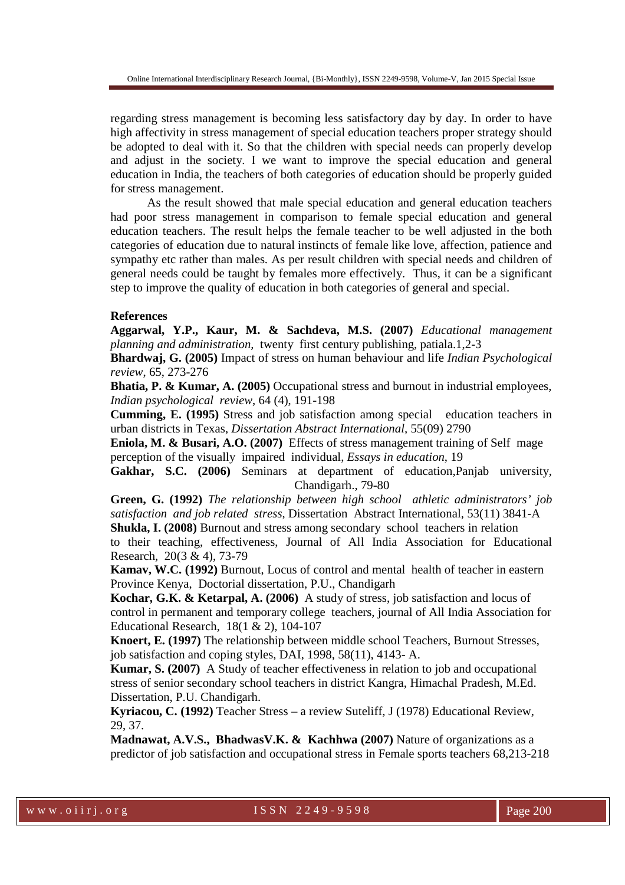regarding stress management is becoming less satisfactory day by day. In order to have high affectivity in stress management of special education teachers proper strategy should be adopted to deal with it. So that the children with special needs can properly develop and adjust in the society. I we want to improve the special education and general education in India, the teachers of both categories of education should be properly guided for stress management.

 As the result showed that male special education and general education teachers had poor stress management in comparison to female special education and general education teachers. The result helps the female teacher to be well adjusted in the both categories of education due to natural instincts of female like love, affection, patience and sympathy etc rather than males. As per result children with special needs and children of general needs could be taught by females more effectively. Thus, it can be a significant step to improve the quality of education in both categories of general and special.

### **References**

**Aggarwal, Y.P., Kaur, M. & Sachdeva, M.S. (2007)** *Educational management planning and administration,* twenty first century publishing, patiala.1,2-3

**Bhardwaj, G. (2005)** Impact of stress on human behaviour and life *Indian Psychological review*, 65, 273-276

**Bhatia, P. & Kumar, A. (2005)** Occupational stress and burnout in industrial employees, *Indian psychological review*, 64 (4), 191-198

**Cumming, E. (1995)** Stress and job satisfaction among special education teachers in urban districts in Texas, *Dissertation Abstract International,* 55(09) 2790

**Eniola, M. & Busari, A.O. (2007)** Effects of stress management training of Self mage perception of the visuallyimpaired individual, *Essays in education*, 19

**Gakhar, S.C. (2006)** Seminars at department of education,Panjab university, Chandigarh., 79-80

**Green, G. (1992)** *The relationship between high school athletic administrators' job satisfaction and job related stress*, Dissertation Abstract International, 53(11) 3841-A

**Shukla, I. (2008)** Burnout and stress among secondary school teachers in relation to their teaching, effectiveness, Journal of All India Association for Educational Research, 20(3 & 4), 73-79

**Kamav, W.C. (1992)** Burnout, Locus of control and mentalhealth of teacher in eastern Province Kenya, Doctorial dissertation, P.U., Chandigarh

**Kochar, G.K. & Ketarpal, A. (2006)** A study of stress, job satisfaction and locus of control in permanent and temporary college teachers, journal of All India Association for Educational Research, 18(1 & 2), 104-107

**Knoert, E. (1997)** The relationship between middle school Teachers, Burnout Stresses, job satisfaction and coping styles, DAI, 1998, 58(11), 4143- A.

**Kumar, S. (2007)** A Study of teacher effectiveness in relation to job and occupational stress of senior secondary school teachers in district Kangra, Himachal Pradesh, M.Ed. Dissertation, P.U. Chandigarh.

**Kyriacou, C. (1992)** Teacher Stress – a review Suteliff, J (1978) Educational Review, 29, 37.

**Madnawat, A.V.S., BhadwasV.K. & Kachhwa (2007)** Nature of organizations as a predictor of job satisfaction and occupational stress in Female sports teachers 68,213-218